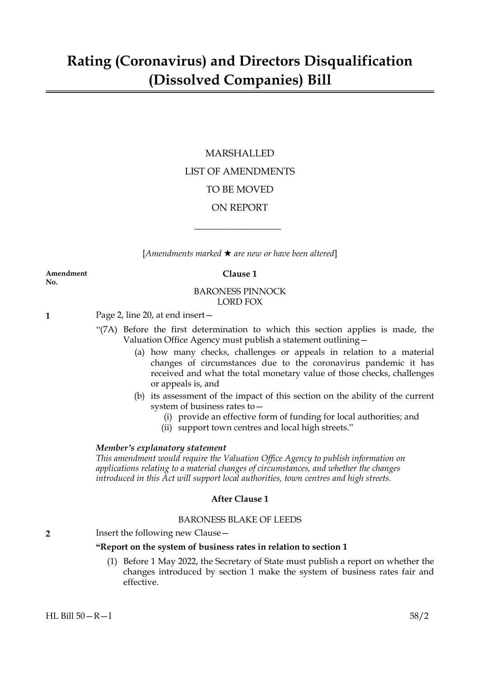# MARSHALLED LIST OF AMENDMENTS TO BE MOVED ON REPORT

[*Amendments marked* \* *are new or have been altered*]

 $\overline{\phantom{a}}$  , where  $\overline{\phantom{a}}$ 

#### **Amendment Clause 1 No.**

# BARONESS PINNOCK LORD FOX

**1** Page 2, line 20, at end insert—

- "(7A) Before the first determination to which this section applies is made, the Valuation Office Agency must publish a statement outlining—
	- (a) how many checks, challenges or appeals in relation to a material changes of circumstances due to the coronavirus pandemic it has received and what the total monetary value of those checks, challenges or appeals is, and
	- (b) its assessment of the impact of this section on the ability of the current system of business rates to—
		- (i) provide an effective form of funding for local authorities; and
		- (ii) support town centres and local high streets."

# *Member's explanatory statement*

*This amendment would require the Valuation Office Agency to publish information on applications relating to a material changes of circumstances, and whether the changes introduced in this Act will support local authorities, town centres and high streets.*

# **After Clause 1**

# BARONESS BLAKE OF LEEDS

# **2** Insert the following new Clause—

# **"Report on the system of business rates in relation to section 1**

(1) Before 1 May 2022, the Secretary of State must publish a report on whether the changes introduced by section 1 make the system of business rates fair and effective.

HL Bill 50—R—I 58/2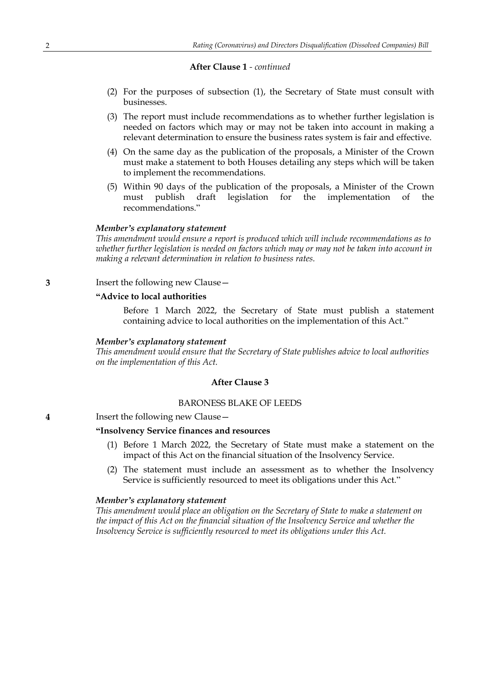# **After Clause 1** *- continued*

- (2) For the purposes of subsection (1), the Secretary of State must consult with businesses.
- (3) The report must include recommendations as to whether further legislation is needed on factors which may or may not be taken into account in making a relevant determination to ensure the business rates system is fair and effective.
- (4) On the same day as the publication of the proposals, a Minister of the Crown must make a statement to both Houses detailing any steps which will be taken to implement the recommendations.
- (5) Within 90 days of the publication of the proposals, a Minister of the Crown must publish draft legislation for the implementation of the recommendations."

#### *Member's explanatory statement*

*This amendment would ensure a report is produced which will include recommendations as to whether further legislation is needed on factors which may or may not be taken into account in making a relevant determination in relation to business rates.*

**3** Insert the following new Clause—

# **"Advice to local authorities**

Before 1 March 2022, the Secretary of State must publish a statement containing advice to local authorities on the implementation of this Act."

#### *Member's explanatory statement*

*This amendment would ensure that the Secretary of State publishes advice to local authorities on the implementation of this Act.*

#### **After Clause 3**

### BARONESS BLAKE OF LEEDS

**4** Insert the following new Clause—

# **"Insolvency Service finances and resources**

- (1) Before 1 March 2022, the Secretary of State must make a statement on the impact of this Act on the financial situation of the Insolvency Service.
- (2) The statement must include an assessment as to whether the Insolvency Service is sufficiently resourced to meet its obligations under this Act."

#### *Member's explanatory statement*

*This amendment would place an obligation on the Secretary of State to make a statement on the impact of this Act on the financial situation of the Insolvency Service and whether the Insolvency Service is sufficiently resourced to meet its obligations under this Act.*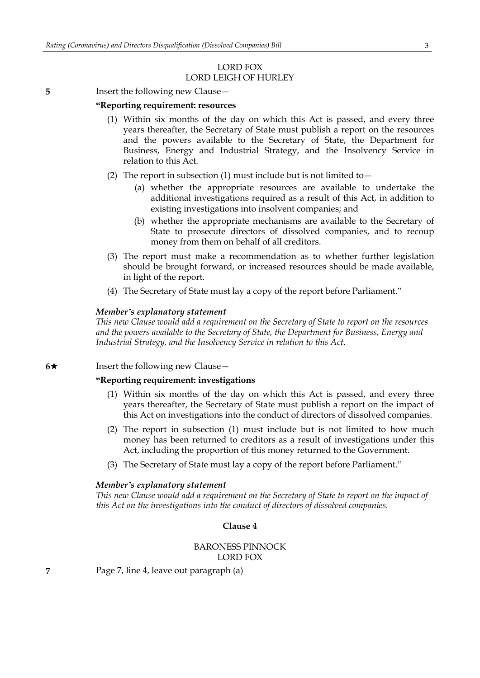# LORD FOX LORD LEIGH OF HURLEY

#### **5** Insert the following new Clause –

#### **"Reporting requirement: resources**

- (1) Within six months of the day on which this Act is passed, and every three years thereafter, the Secretary of State must publish a report on the resources and the powers available to the Secretary of State, the Department for Business, Energy and Industrial Strategy, and the Insolvency Service in relation to this Act.
- (2) The report in subsection (1) must include but is not limited to  $-$ 
	- (a) whether the appropriate resources are available to undertake the additional investigations required as a result of this Act, in addition to existing investigations into insolvent companies; and
	- (b) whether the appropriate mechanisms are available to the Secretary of State to prosecute directors of dissolved companies, and to recoup money from them on behalf of all creditors.
- (3) The report must make a recommendation as to whether further legislation should be brought forward, or increased resources should be made available, in light of the report.
- (4) The Secretary of State must lay a copy of the report before Parliament."

### *Member's explanatory statement*

*This new Clause would add a requirement on the Secretary of State to report on the resources and the powers available to the Secretary of State, the Department for Business, Energy and Industrial Strategy, and the Insolvency Service in relation to this Act.*

### **6**★ Insert the following new Clause —

#### **"Reporting requirement: investigations**

- (1) Within six months of the day on which this Act is passed, and every three years thereafter, the Secretary of State must publish a report on the impact of this Act on investigations into the conduct of directors of dissolved companies.
- (2) The report in subsection (1) must include but is not limited to how much money has been returned to creditors as a result of investigations under this Act, including the proportion of this money returned to the Government.
- (3) The Secretary of State must lay a copy of the report before Parliament."

#### *Member's explanatory statement*

*This new Clause would add a requirement on the Secretary of State to report on the impact of this Act on the investigations into the conduct of directors of dissolved companies.*

### **Clause 4**

# BARONESS PINNOCK LORD FOX

**7** Page 7, line 4, leave out paragraph (a)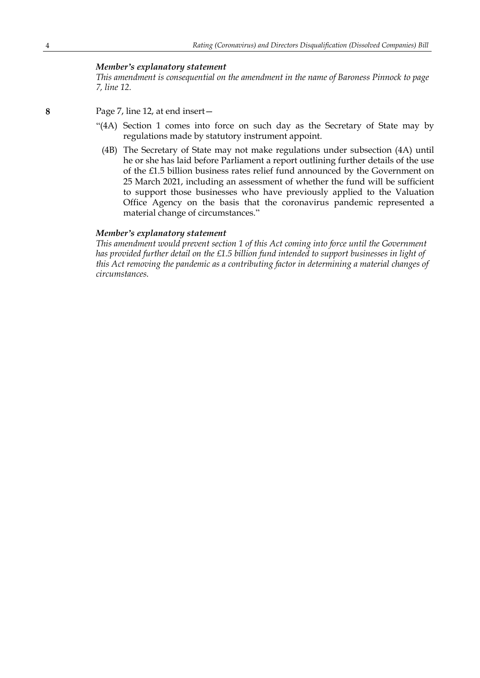# *Member's explanatory statement*

*This amendment is consequential on the amendment in the name of Baroness Pinnock to page 7, line 12.*

- **8** Page 7, line 12, at end insert—
	- "(4A) Section 1 comes into force on such day as the Secretary of State may by regulations made by statutory instrument appoint.
		- (4B) The Secretary of State may not make regulations under subsection (4A) until he or she has laid before Parliament a report outlining further details of the use of the £1.5 billion business rates relief fund announced by the Government on 25 March 2021, including an assessment of whether the fund will be sufficient to support those businesses who have previously applied to the Valuation Office Agency on the basis that the coronavirus pandemic represented a material change of circumstances."

#### *Member's explanatory statement*

*This amendment would prevent section 1 of this Act coming into force until the Government has provided further detail on the £1.5 billion fund intended to support businesses in light of this Act removing the pandemic as a contributing factor in determining a material changes of circumstances.*